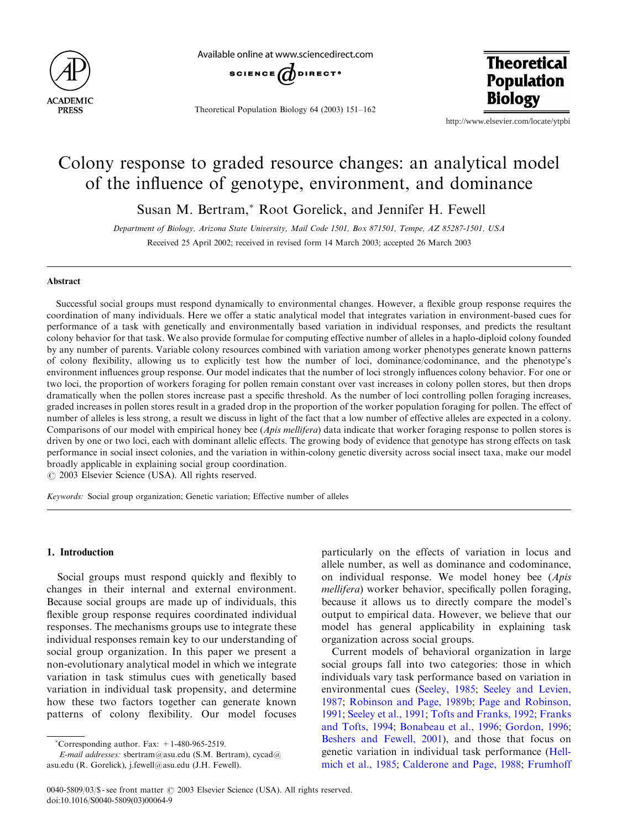

Available online at www.sciencedirect.com



Theoretical Population Biology 64 (2003) 151–162

**Theoretical Population Biology** 

http://www.elsevier.com/locate/ytpbi

# Colony response to graded resource changes: an analytical model of the influence of genotype, environment, and dominance

Susan M. Bertram,\* Root Gorelick, and Jennifer H. Fewell

Department of Biology, Arizona State University, Mail Code 1501, Box 871501, Tempe, AZ 85287-1501, USA Received 25 April 2002; received in revised form14 March 2003; accepted 26 March 2003

## Abstract

Successful social groups must respond dynamically to environmental changes. However, a flexible group response requires the coordination of many individuals. Here we offer a static analytical model that integrates variation in environment-based cues for performance of a task with genetically and environmentally based variation in individual responses, and predicts the resultant colony behavior for that task. We also provide formulae for computing effective number of alleles in a haplo-diploid colony founded by any number of parents. Variable colony resources combined with variation among worker phenotypes generate known patterns of colony flexibility, allowing us to explicitly test how the number of loci, dominance/codominance, and the phenotype's environment influences group response. Our model indicates that the number of loci strongly influences colony behavior. For one or two loci, the proportion of workers foraging for pollen remain constant over vast increases in colony pollen stores, but then drops dramatically when the pollen stores increase past a specific threshold. As the number of loci controlling pollen foraging increases, graded increases in pollen stores result in a graded drop in the proportion of the worker population foraging for pollen. The effect of number of alleles is less strong, a result we discuss in light of the fact that a low number of effective alleles are expected in a colony. Comparisons of our model with empirical honey bee (Apis mellifera) data indicate that worker foraging response to pollen stores is driven by one or two loci, each with dominant allelic effects. The growing body of evidence that genotype has strong effects on task performance in social insect colonies, and the variation in within-colony genetic diversity across social insect taxa, make our model broadly applicable in explaining social group coordination.  $O$  2003 Elsevier Science (USA). All rights reserved.

Keywords: Social group organization; Genetic variation; Effective number of alleles

## 1. Introduction

Social groups must respond quickly and flexibly to changes in their internal and external environment. Because social groups are made up of individuals, this flexible group response requires coordinated individual responses. The mechanisms groups use to integrate these individual responses remain key to our understanding of social group organization. In this paper we present a non-evolutionary analytical model in which we integrate variation in task stimulus cues with genetically based variation in individual task propensity, and determine how these two factors together can generate known patterns of colony flexibility. Our model focuses

\*Corresponding author. Fax:  $+1-480-965-2519$ .

particularly on the effects of variation in locus and allele number, as well as dominance and codominance, on individual response. We model honey bee (Apis mellifera) worker behavior, specifically pollen foraging, because it allows us to directly compare the model's output to empirical data. However, we believe that our model has general applicability in explaining task organization across social groups.

Current models of behavioral organization in large social groups fall into two categories: those in which individuals vary task performance based on variation in environmental cues [\(Seeley, 1985](#page-11-0); [Seeley and Levien,](#page-11-0) [1987;](#page-11-0) [Robinson and Page, 1989b](#page-11-0); [Page and Robinson,](#page-11-0) [1991;](#page-11-0) [Seeley et al., 1991](#page-11-0); [Tofts and Franks, 1992](#page-11-0); [Franks](#page-11-0) [and Tofts, 1994](#page-11-0); [Bonabeau et al., 1996;](#page-10-0) [Gordon, 1996](#page-11-0); [Beshers and Fewell, 2001\)](#page-10-0), and those that focus on genetic variation in individual task performance ([Hell](#page-11-0)[mich et al., 1985;](#page-11-0) [Calderone and Page, 1988;](#page-10-0) [Frumhoff](#page-11-0)

E-mail addresses: sbertram@asu.edu (S.M. Bertram), cycad@ asu.edu (R. Gorelick), j.fewell@asu.edu (J.H. Fewell).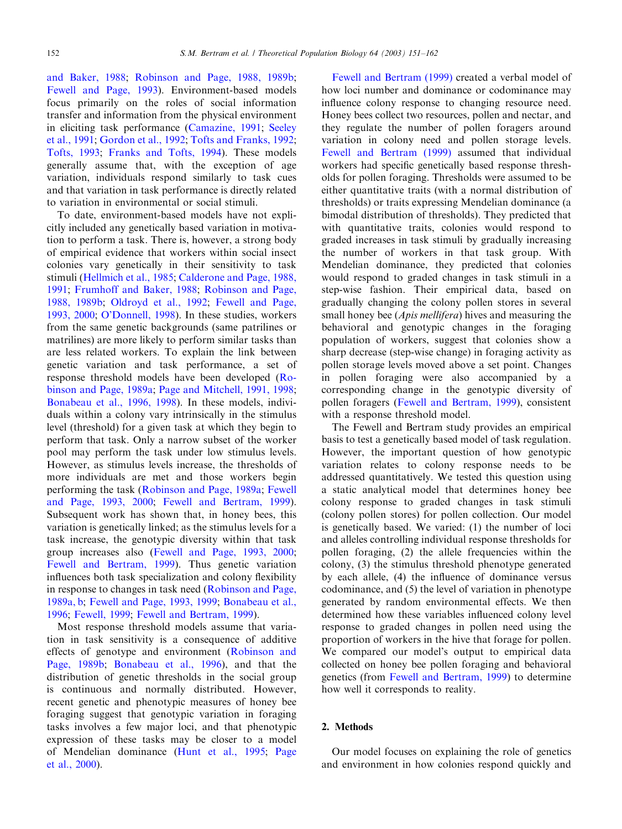[and Baker, 1988](#page-11-0); [Robinson and Page, 1988, 1989b](#page-11-0); [Fewell and Page, 1993](#page-11-0)). Environment-based models focus primarily on the roles of social information transfer and information from the physical environment in eliciting task performance [\(Camazine, 1991](#page-10-0); [Seeley](#page-11-0) [et al., 1991](#page-11-0); [Gordon et al., 1992](#page-11-0); [Tofts and Franks, 1992](#page-11-0); [Tofts, 1993;](#page-11-0) [Franks and Tofts, 1994](#page-11-0)). These models generally assume that, with the exception of age variation, individuals respond similarly to task cues and that variation in task performance is directly related to variation in environmental or social stimuli.

To date, environment-based models have not explicitly included any genetically based variation in motivation to performa task. There is, however, a strong body of empirical evidence that workers within social insect colonies vary genetically in their sensitivity to task stimuli ([Hellmich et al., 1985](#page-11-0); [Calderone and Page, 1988,](#page-10-0) [1991;](#page-10-0) [Frumhoff and Baker, 1988;](#page-11-0) [Robinson and Page,](#page-11-0) [1988, 1989b](#page-11-0); [Oldroyd et al., 1992](#page-11-0); [Fewell and Page,](#page-11-0) [1993, 2000;](#page-11-0) [O'Donnell, 1998\)](#page-11-0). In these studies, workers from the same genetic backgrounds (same patrilines or matrilines) are more likely to perform similar tasks than are less related workers. To explain the link between genetic variation and task performance, a set of response threshold models have been developed [\(Ro](#page-11-0)[binson and Page, 1989a](#page-11-0); [Page and Mitchell, 1991, 1998](#page-11-0); [Bonabeau et al., 1996, 1998](#page-10-0)). In these models, individuals within a colony vary intrinsically in the stimulus level (threshold) for a given task at which they begin to perform that task. Only a narrow subset of the worker pool may perform the task under low stimulus levels. However, as stimulus levels increase, the thresholds of more individuals are met and those workers begin performing the task ([Robinson and Page, 1989a](#page-11-0); [Fewell](#page-11-0) [and Page, 1993, 2000;](#page-11-0) [Fewell and Bertram, 1999\)](#page-11-0). Subsequent work has shown that, in honey bees, this variation is genetically linked; as the stimulus levels for a task increase, the genotypic diversity within that task group increases also ([Fewell and Page, 1993, 2000](#page-11-0); [Fewell and Bertram, 1999](#page-11-0)). Thus genetic variation influences both task specialization and colony flexibility in response to changes in task need [\(Robinson and Page,](#page-11-0) [1989a, b;](#page-11-0) [Fewell and Page, 1993, 1999;](#page-11-0) [Bonabeau et al.,](#page-10-0) [1996;](#page-10-0) [Fewell, 1999;](#page-11-0) [Fewell and Bertram, 1999\)](#page-11-0).

Most response threshold models assume that variation in task sensitivity is a consequence of additive effects of genotype and environment [\(Robinson and](#page-11-0) [Page, 1989b;](#page-11-0) [Bonabeau et al., 1996](#page-10-0)), and that the distribution of genetic thresholds in the social group is continuous and normally distributed. However, recent genetic and phenotypic measures of honey bee foraging suggest that genotypic variation in foraging tasks involves a few major loci, and that phenotypic expression of these tasks may be closer to a model of Mendelian dominance ([Hunt et al., 1995;](#page-11-0) [Page](#page-11-0) [et al., 2000](#page-11-0)).

Fewell and Bertram (1999) created a verbal model of how loci number and dominance or codominance may influence colony response to changing resource need. Honey bees collect two resources, pollen and nectar, and they regulate the number of pollen foragers around variation in colony need and pollen storage levels. Fewell and Bertram (1999) assumed that individual workers had specific genetically based response thresholds for pollen foraging. Thresholds were assumed to be either quantitative traits (with a normal distribution of thresholds) or traits expressing Mendelian dominance (a bimodal distribution of thresholds). They predicted that with quantitative traits, colonies would respond to graded increases in task stimuli by gradually increasing the number of workers in that task group. With Mendelian dominance, they predicted that colonies would respond to graded changes in task stimuli in a step-wise fashion. Their empirical data, based on gradually changing the colony pollen stores in several small honey bee (*Apis mellifera*) hives and measuring the behavioral and genotypic changes in the foraging population of workers, suggest that colonies show a sharp decrease (step-wise change) in foraging activity as pollen storage levels moved above a set point. Changes in pollen foraging were also accompanied by a corresponding change in the genotypic diversity of pollen foragers [\(Fewell and Bertram, 1999\)](#page-11-0), consistent with a response threshold model.

The Fewell and Bertram study provides an empirical basis to test a genetically based model of task regulation. However, the important question of how genotypic variation relates to colony response needs to be addressed quantitatively. We tested this question using a static analytical model that determines honey bee colony response to graded changes in task stimuli (colony pollen stores) for pollen collection. Our model is genetically based. We varied: (1) the number of loci and alleles controlling individual response thresholds for pollen foraging, (2) the allele frequencies within the colony, (3) the stimulus threshold phenotype generated by each allele, (4) the influence of dominance versus codominance, and (5) the level of variation in phenotype generated by random environmental effects. We then determined how these variables influenced colony level response to graded changes in pollen need using the proportion of workers in the hive that forage for pollen. We compared our model's output to empirical data collected on honey bee pollen foraging and behavioral genetics (from [Fewell and Bertram, 1999](#page-11-0)) to determine how well it corresponds to reality.

## 2. Methods

Our model focuses on explaining the role of genetics and environment in how colonies respond quickly and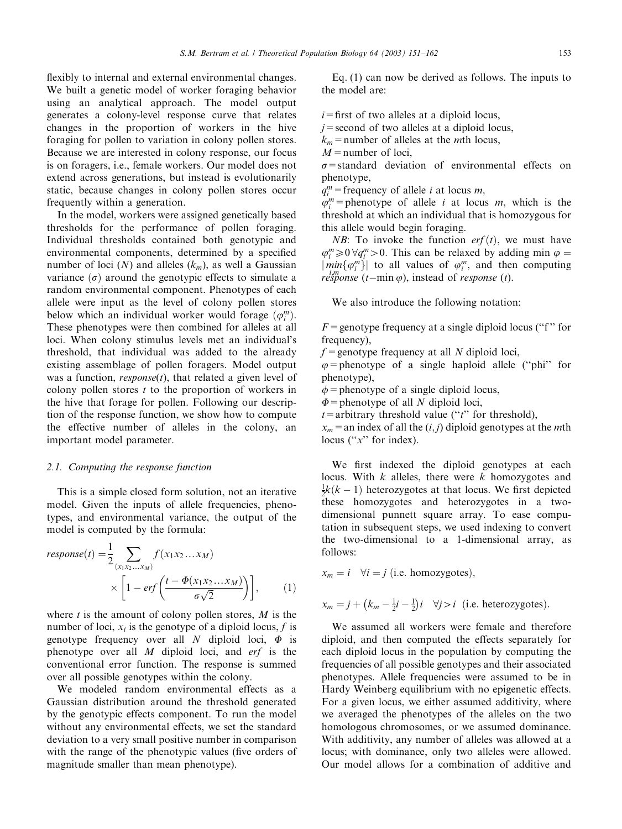flexibly to internal and external environmental changes. We built a genetic model of worker foraging behavior using an analytical approach. The model output generates a colony-level response curve that relates changes in the proportion of workers in the hive foraging for pollen to variation in colony pollen stores. Because we are interested in colony response, our focus is on foragers, i.e., female workers. Our model does not extend across generations, but instead is evolutionarily static, because changes in colony pollen stores occur frequently within a generation.

In the model, workers were assigned genetically based thresholds for the performance of pollen foraging. Individual thresholds contained both genotypic and environmental components, determined by a specified number of loci  $(N)$  and alleles  $(k_m)$ , as well a Gaussian variance  $(\sigma)$  around the genotypic effects to simulate a random environmental component. Phenotypes of each allele were input as the level of colony pollen stores below which an individual worker would forage  $(\varphi_i^m)$ . These phenotypes were then combined for alleles at all loci. When colony stimulus levels met an individual's threshold, that individual was added to the already existing assemblage of pollen foragers. Model output was a function,  $response(t)$ , that related a given level of colony pollen stores  $t$  to the proportion of workers in the hive that forage for pollen. Following our description of the response function, we show how to compute the effective number of alleles in the colony, an important model parameter.

## 2.1. Computing the response function

This is a simple closed form solution, not an iterative model. Given the inputs of allele frequencies, phenotypes, and environmental variance, the output of the model is computed by the formula:

$$
response(t) = \frac{1}{2} \sum_{(x_1x_2...x_M)} f(x_1x_2...x_M)
$$

$$
\times \left[1 - erf\left(\frac{t - \Phi(x_1x_2...x_M)}{\sigma\sqrt{2}}\right)\right], \qquad (1)
$$

where  $t$  is the amount of colony pollen stores,  $M$  is the number of loci,  $x_i$  is the genotype of a diploid locus, f is genotype frequency over all N diploid loci,  $\Phi$  is phenotype over all  $M$  diploid loci, and erf is the conventional error function. The response is summed over all possible genotypes within the colony.

We modeled random environmental effects as a Gaussian distribution around the threshold generated by the genotypic effects component. To run the model without any environmental effects, we set the standard deviation to a very small positive number in comparison with the range of the phenotypic values (five orders of magnitude smaller than mean phenotype).

Eq. (1) can now be derived as follows. The inputs to the model are:

 $i =$  first of two alleles at a diploid locus,

 $j$ =second of two alleles at a diploid locus,

 $k_m$ =number of alleles at the *mth* locus,

 $M$ =number of loci.

 $\sigma$ =standard deviation of environmental effects on phenotype,

 $q_i^m$  = frequency of allele *i* at locus *m*,

 $\varphi_i^m$  = phenotype of allele *i* at locus *m*, which is the threshold at which an individual that is homozygous for this allele would begin foraging.

*NB*: To invoke the function  $erf(t)$ , we must have  $\varphi_i^m \geq 0 \,\forall q_i^m > 0$ . This can be relaxed by adding min  $\varphi =$  $\left[\min\{\varphi_i^m\}\right]$  to all values of  $\varphi_i^m$ , and then computing *response* (*t*-min  $\varphi$ ), instead of *response* (*t*).

We also introduce the following notation:

 $F =$ genotype frequency at a single diploid locus ("f" for frequency),

 $f =$ genotype frequency at all N diploid loci,

 $\varphi$ =phenotype of a single haploid allele ("phi" for phenotype),

 $\phi$ =phenotype of a single diploid locus,

 $\Phi$ =phenotype of all N diploid loci,

 $t$ =arbitrary threshold value (" $t$ " for threshold),

 $x_m$  = an index of all the  $(i, j)$  diploid genotypes at the *mth* locus (" $x$ " for index).

We first indexed the diploid genotypes at each locus. With  $k$  alleles, there were  $k$  homozygotes and  $\frac{1}{2}k(k-1)$  heterozygotes at that locus. We first depicted these homozygotes and heterozygotes in a twodimensional punnett square array. To ease computation in subsequent steps, we used indexing to convert the two-dimensional to a 1-dimensional array, as follows:

 $x_m = i \quad \forall i = j$  (i.e. homozygotes),

 $x_m = j + (k_m - \frac{1}{2}i - \frac{1}{2})i \quad \forall j > i$  (i.e. heterozygotes).

We assumed all workers were female and therefore diploid, and then computed the effects separately for each diploid locus in the population by computing the frequencies of all possible genotypes and their associated phenotypes. Allele frequencies were assumed to be in Hardy Weinberg equilibrium with no epigenetic effects. For a given locus, we either assumed additivity, where we averaged the phenotypes of the alleles on the two homologous chromosomes, or we assumed dominance. With additivity, any number of alleles was allowed at a locus; with dominance, only two alleles were allowed. Our model allows for a combination of additive and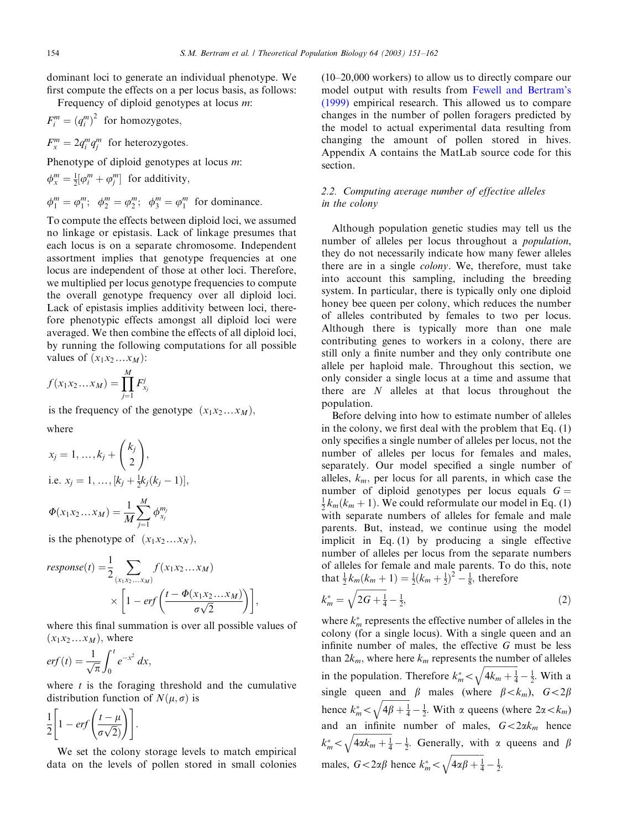dominant loci to generate an individual phenotype. We first compute the effects on a per locus basis, as follows:

Frequency of diploid genotypes at locus m:

$$
F_i^m = (q_i^m)^2
$$
 for homozygotes,  

$$
F_x^m = 2q_i^m q_j^m
$$
 for heterozygotes.

Phenotype of diploid genotypes at locus *m*:

 $\phi_x^m = \frac{1}{2} [\phi_i^m + \phi_j^m]$  for additivity,

 $\phi_1^m = \phi_1^m; \phi_2^m = \phi_2^m; \phi_3^m = \phi_1^m$  for dominance.

To compute the effects between diploid loci, we assumed no linkage or epistasis. Lack of linkage presumes that each locus is on a separate chromosome. Independent assortment implies that genotype frequencies at one locus are independent of those at other loci. Therefore, we multiplied per locus genotype frequencies to compute the overall genotype frequency over all diploid loci. Lack of epistasis implies additivity between loci, therefore phenotypic effects amongst all diploid loci were averaged. We then combine the effects of all diploid loci, by running the following computations for all possible values of  $(x_1x_2...x_M)$ :

$$
f(x_1 x_2 ... x_M) = \prod_{j=1}^M F_{x_j}^j
$$

is the frequency of the genotype  $(x_1x_2...x_M)$ ,

where

$$
x_j = 1, ..., k_j + {k_j \choose 2},
$$
  
i.e.  $x_j = 1, ..., [k_j + \frac{1}{2}k_j(k_j - 1)],$   

$$
\Phi(x_1 x_2 ... x_M) = \frac{1}{M} \sum_{j=1}^{M} \phi_{x_j}^{m_j}
$$

is the phenotype of  $(x_1x_2...x_N)$ ,

$$
response(t) = \frac{1}{2} \sum_{(x_1x_2...x_M)} f(x_1x_2...x_M)
$$

$$
\times \left[1 - erf\left(\frac{t - \Phi(x_1x_2...x_M)}{\sigma\sqrt{2}}\right)\right],
$$

where this final summation is over all possible values of  $(x_1x_2...x_M)$ , where

$$
erf(t) = \frac{1}{\sqrt{\pi}} \int_0^t e^{-x^2} dx,
$$

where  $t$  is the foraging threshold and the cumulative distribution function of  $N(\mu, \sigma)$  is

$$
\frac{1}{2}\left[1-\text{erf}\left(\frac{t-\mu}{\sigma\sqrt{2}}\right)\right].
$$

We set the colony storage levels to match empirical data on the levels of pollen stored in small colonies (10–20,000 workers) to allow us to directly compare our model output with results from [Fewell and Bertram's](#page-11-0) [\(1999\)](#page-11-0) empirical research. This allowed us to compare changes in the number of pollen foragers predicted by the model to actual experimental data resulting from changing the amount of pollen stored in hives. Appendix A contains the MatLab source code for this section.

## 2.2. Computing average number of effective alleles in the colony

Although population genetic studies may tell us the number of alleles per locus throughout a *population*, they do not necessarily indicate how many fewer alleles there are in a single *colony*. We, therefore, must take into account this sampling, including the breeding system. In particular, there is typically only one diploid honey bee queen per colony, which reduces the number of alleles contributed by females to two per locus. Although there is typically more than one male contributing genes to workers in a colony, there are still only a finite number and they only contribute one allele per haploid male. Throughout this section, we only consider a single locus at a time and assume that there are  $N$  alleles at that locus throughout the population.

Before delving into how to estimate number of alleles in the colony, we first deal with the problem that Eq.  $(1)$ only specifies a single number of alleles per locus, not the number of alleles per locus for females and males, separately. Our model specified a single number of alleles,  $k_m$ , per locus for all parents, in which case the number of diploid genotypes per locus equals  $G =$  $\frac{1}{2}k_m(k_m+1)$ . We could reformulate our model in Eq. (1) with separate numbers of alleles for female and male parents. But, instead, we continue using the model implicit in Eq. (1) by producing a single effective number of alleles per locus from the separate numbers of alleles for female and male parents. To do this, note that  $\frac{1}{2}k_m(k_m+1) = \frac{1}{2}(k_m+\frac{1}{2})^2 - \frac{1}{8}$ , therefore

$$
k_m^* = \sqrt{2G + \frac{1}{4} - \frac{1}{2}},\tag{2}
$$

where  $k_m^*$  represents the effective number of alleles in the colony (for a single locus). With a single queen and an infinite number of males, the effective G must be less than  $2k_m$ , where here  $k_m$  represents the number of alleles in the population. Therefore  $k_m^*$  <  $\frac{1}{4k_m + \frac{1}{4}}$  $\sqrt{4k_m + \frac{1}{4} - \frac{1}{2}}$ . With a single queen and  $\beta$  males (where  $\beta < k_m$ ),  $G < 2\beta$ hence  $k_m^*$  <  $\frac{1}{4\beta + \frac{1}{4}}$  $\sqrt{4\beta + \frac{1}{4}} - \frac{1}{2}$ . With  $\alpha$  queens (where  $2\alpha < k_m$ ) and an infinite number of males,  $G < 2\alpha k_m$  hence  $k_m^*$  <  $\frac{1}{4}4\alpha k_m + \frac{1}{4}$  $\sqrt{4\alpha k_m + \frac{1}{4} - \frac{1}{2}}$ . Generally, with  $\alpha$  queens and  $\beta$ males,  $G < 2\alpha\beta$  hence  $k_m^* <$  $4\alpha\beta + \frac{1}{4}$  $\sqrt{4\alpha\beta+\frac{1}{4}-\frac{1}{2}}$ .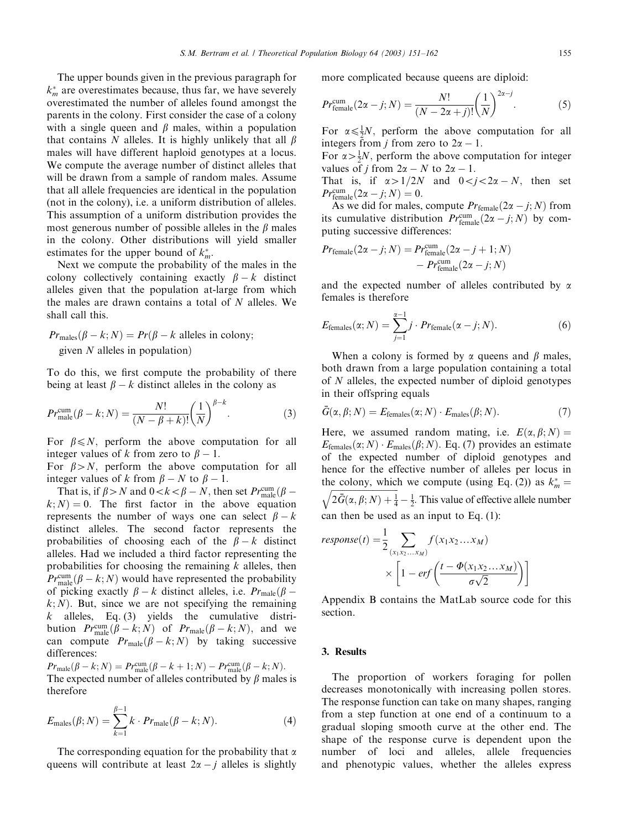The upper bounds given in the previous paragraph for  $k_m^*$  are overestimates because, thus far, we have severely overestimated the number of alleles found amongst the parents in the colony. First consider the case of a colony with a single queen and  $\beta$  males, within a population that contains N alleles. It is highly unlikely that all  $\beta$ males will have different haploid genotypes at a locus. We compute the average number of distinct alleles that will be drawn from a sample of random males. Assume that all allele frequencies are identical in the population (not in the colony), i.e. a uniform distribution of alleles. This assumption of a uniform distribution provides the most generous number of possible alleles in the  $\beta$  males in the colony. Other distributions will yield smaller estimates for the upper bound of  $k_m^*$ .

Next we compute the probability of the males in the colony collectively containing exactly  $\beta - k$  distinct alleles given that the population at-large from which the males are drawn contains a total of  $N$  alleles. We shall call this.

 $Pr_{\text{males}}(\beta - k; N) = Pr(\beta - k \text{ alleles in colony};$ given  $N$  alleles in population)

To do this, we first compute the probability of there being at least  $\beta - k$  distinct alleles in the colony as

$$
Pr_{\text{male}}^{\text{cum}}(\beta - k; N) = \frac{N!}{(N - \beta + k)!} \left(\frac{1}{N}\right)^{\beta - k}.
$$
 (3)

For  $\beta \leq N$ , perform the above computation for all integer values of k from zero to  $\beta - 1$ .

For  $\beta > N$ , perform the above computation for all integer values of k from  $\beta - N$  to  $\beta - 1$ .

That is, if  $\beta > N$  and  $0 < k < \beta - N$ , then set  $Pr_{\text{male}}^{\text{cum}}(\beta$  $k; N = 0$ . The first factor in the above equation represents the number of ways one can select  $\beta - k$ distinct alleles. The second factor represents the probabilities of choosing each of the  $\beta - k$  distinct alleles. Had we included a third factor representing the probabilities for choosing the remaining  $k$  alleles, then  $Pr_{\text{male}}^{\text{cum}}(\beta - k; N)$  would have represented the probability of picking exactly  $\beta - k$  distinct alleles, i.e.  $Pr_{\text{male}}(\beta$  $k; N$ ). But, since we are not specifying the remaining  $k$  alleles, Eq. (3) yields the cumulative distribution  $Pr_{\text{male}}^{\text{cum}}(\beta - k; N)$  of  $Pr_{\text{male}}(\beta - k; N)$ , and we can compute  $Pr_{\text{male}}(\beta - k; N)$  by taking successive differences:

 $Pr_{\text{male}}(\beta - k; N) = Pr_{\text{male}}^{\text{cum}}(\beta - k + 1; N) - Pr_{\text{male}}^{\text{cum}}(\beta - k; N).$ 

The expected number of alleles contributed by  $\beta$  males is therefore

$$
E_{\text{males}}(\beta; N) = \sum_{k=1}^{\beta - 1} k \cdot Pr_{\text{male}}(\beta - k; N). \tag{4}
$$

The corresponding equation for the probability that  $\alpha$ queens will contribute at least  $2\alpha - j$  alleles is slightly more complicated because queens are diploid:

$$
Pr_{\text{female}}^{\text{cum}}(2\alpha - j; N) = \frac{N!}{(N - 2\alpha + j)!} \left(\frac{1}{N}\right)^{2\alpha - j}.
$$
 (5)

For  $\alpha \le \frac{1}{2}N$ , perform the above computation for all integers from *j* from zero to  $2\alpha - 1$ .

For  $\alpha > \frac{1}{2}N$ , perform the above computation for integer values of *j* from  $2\alpha - N$  to  $2\alpha - 1$ .

That is, if  $\alpha > 1/2N$  and  $0 < j < 2\alpha - N$ , then set  $Pr_{\text{female}}^{\text{cum}}(2\alpha - j; N) = 0.$ 

As we did for males, compute  $Pr_{\text{female}}(2\alpha - j; N)$  from its cumulative distribution  $Pr_{\text{female}}^{\text{cum}}(2\alpha - j; N)$  by computing successive differences:

$$
Pr_{\text{female}}(2\alpha - j; N) = Pr_{\text{female}}^{\text{cum}}(2\alpha - j + 1; N) - Pr_{\text{female}}^{\text{cum}}(2\alpha - j; N)
$$

and the expected number of alleles contributed by  $\alpha$ females is therefore

$$
E_{\text{female}}(\alpha; N) = \sum_{j=1}^{\alpha-1} j \cdot Pr_{\text{female}}(\alpha - j; N). \tag{6}
$$

When a colony is formed by  $\alpha$  queens and  $\beta$  males, both drawn froma large population containing a total of N alleles, the expected number of diploid genotypes in their offspring equals

$$
\bar{G}(\alpha, \beta; N) = E_{\text{females}}(\alpha; N) \cdot E_{\text{males}}(\beta; N). \tag{7}
$$

Here, we assumed random mating, i.e.  $E(\alpha, \beta; N) =$  $E_{\text{females}}(\alpha; N) \cdot E_{\text{males}}(\beta; N)$ . Eq. (7) provides an estimate of the expected number of diploid genotypes and hence for the effective number of alleles per locus in the colony, which we compute (using Eq. (2)) as  $k_m^* =$  $2\bar G(\alpha,\beta;N)+\frac{1}{4}$  $\sqrt{2\bar{G}(\alpha,\beta;N)+\frac{1}{4}-\frac{1}{2}}$ . This value of effective allele number can then be used as an input to Eq. (1):

$$
response(t) = \frac{1}{2} \sum_{(x_1x_2...x_M)} f(x_1x_2...x_M)
$$

$$
\times \left[1 - erf\left(\frac{t - \Phi(x_1x_2...x_M)}{\sigma\sqrt{2}}\right)\right]
$$

Appendix B contains the MatLab source code for this section.

### 3. Results

The proportion of workers foraging for pollen decreases monotonically with increasing pollen stores. The response function can take on many shapes, ranging from a step function at one end of a continuum to a gradual sloping smooth curve at the other end. The shape of the response curve is dependent upon the number of loci and alleles, allele frequencies and phenotypic values, whether the alleles express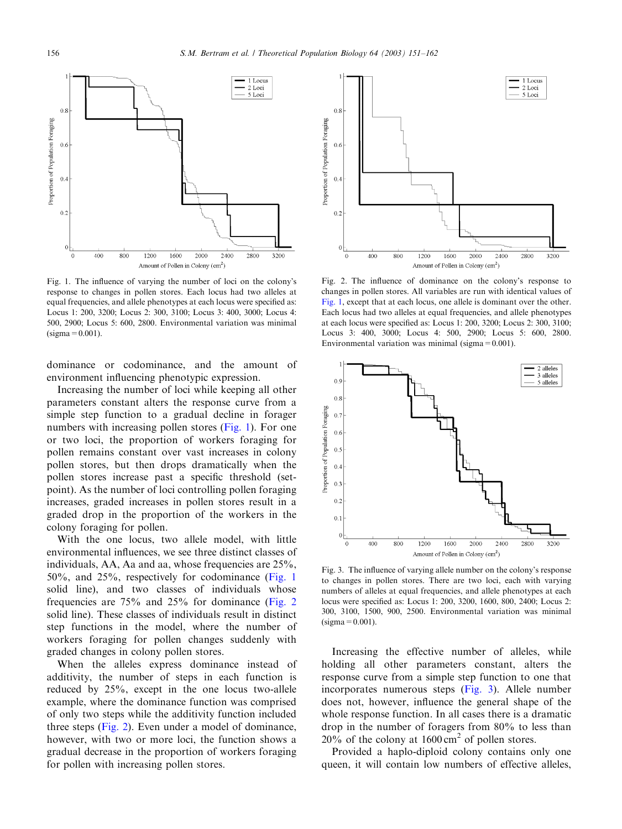<span id="page-5-0"></span>

Fig. 1. The influence of varying the number of loci on the colony's response to changes in pollen stores. Each locus had two alleles at equal frequencies, and allele phenotypes at each locus were specified as: Locus 1: 200, 3200; Locus 2: 300, 3100; Locus 3: 400, 3000; Locus 4: 500, 2900; Locus 5: 600, 2800. Environmental variation was minimal  $(sigma = 0.001)$ .

dominance or codominance, and the amount of environment influencing phenotypic expression.

Increasing the number of loci while keeping all other parameters constant alters the response curve from a simple step function to a gradual decline in forager numbers with increasing pollen stores (Fig. 1). For one or two loci, the proportion of workers foraging for pollen remains constant over vast increases in colony pollen stores, but then drops dramatically when the pollen stores increase past a specific threshold (setpoint). As the number of loci controlling pollen foraging increases, graded increases in pollen stores result in a graded drop in the proportion of the workers in the colony foraging for pollen.

With the one locus, two allele model, with little environmental influences, we see three distinct classes of individuals, AA, Aa and aa, whose frequencies are 25%, 50%, and 25%, respectively for codominance (Fig. 1 solid line), and two classes of individuals whose frequencies are 75% and 25% for dominance (Fig. 2 solid line). These classes of individuals result in distinct step functions in the model, where the number of workers foraging for pollen changes suddenly with graded changes in colony pollen stores.

When the alleles express dominance instead of additivity, the number of steps in each function is reduced by 25%, except in the one locus two-allele example, where the dominance function was comprised of only two steps while the additivity function included three steps (Fig. 2). Even under a model of dominance, however, with two or more loci, the function shows a gradual decrease in the proportion of workers foraging for pollen with increasing pollen stores.



Fig. 2. The influence of dominance on the colony's response to changes in pollen stores. All variables are run with identical values of Fig. 1, except that at each locus, one allele is dominant over the other. Each locus had two alleles at equal frequencies, and allele phenotypes at each locus were specified as: Locus 1: 200, 3200; Locus 2: 300, 3100; Locus 3: 400, 3000; Locus 4: 500, 2900; Locus 5: 600, 2800. Environmental variation was minimal (sigma $=0.001$ ).



Fig. 3. The influence of varying allele number on the colony's response to changes in pollen stores. There are two loci, each with varying numbers of alleles at equal frequencies, and allele phenotypes at each locus were specified as: Locus 1: 200, 3200, 1600, 800, 2400; Locus 2: 300, 3100, 1500, 900, 2500. Environmental variation was minimal  $(sigma = 0.001)$ .

Increasing the effective number of alleles, while holding all other parameters constant, alters the response curve from a simple step function to one that incorporates numerous steps (Fig. 3). Allele number does not, however, influence the general shape of the whole response function. In all cases there is a dramatic drop in the number of foragers from 80% to less than  $20\%$  of the colony at 1600 cm<sup>2</sup> of pollen stores.

Provided a haplo-diploid colony contains only one queen, it will contain low numbers of effective alleles,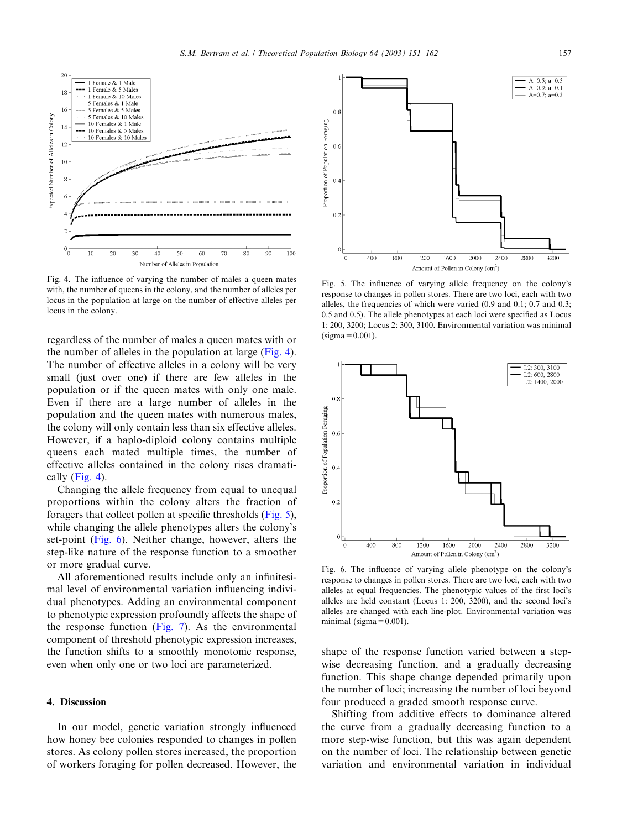<span id="page-6-0"></span>

Fig. 4. The influence of varying the number of males a queen mates with, the number of queens in the colony, and the number of alleles per locus in the population at large on the number of effective alleles per locus in the colony.

regardless of the number of males a queen mates with or the number of alleles in the population at large (Fig. 4). The number of effective alleles in a colony will be very small (just over one) if there are few alleles in the population or if the queen mates with only one male. Even if there are a large number of alleles in the population and the queen mates with numerous males, the colony will only contain less than six effective alleles. However, if a haplo-diploid colony contains multiple queens each mated multiple times, the number of effective alleles contained in the colony rises dramatically (Fig. 4).

Changing the allele frequency fromequal to unequal proportions within the colony alters the fraction of foragers that collect pollen at specific thresholds (Fig. 5), while changing the allele phenotypes alters the colony's set-point (Fig. 6). Neither change, however, alters the step-like nature of the response function to a smoother or more gradual curve.

All aforementioned results include only an infinitesimal level of environmental variation influencing individual phenotypes. Adding an environmental component to phenotypic expression profoundly affects the shape of the response function [\(Fig. 7](#page-7-0)). As the environmental component of threshold phenotypic expression increases, the function shifts to a smoothly monotonic response, even when only one or two loci are parameterized.

## 4. Discussion

In our model, genetic variation strongly influenced how honey bee colonies responded to changes in pollen stores. As colony pollen stores increased, the proportion of workers foraging for pollen decreased. However, the



Fig. 5. The influence of varying allele frequency on the colony's response to changes in pollen stores. There are two loci, each with two alleles, the frequencies of which were varied (0.9 and 0.1; 0.7 and 0.3; 0.5 and 0.5). The allele phenotypes at each loci were specified as Locus 1: 200, 3200; Locus 2: 300, 3100. Environmental variation was minimal  $(sigma = 0.001)$ .



Fig. 6. The influence of varying allele phenotype on the colony's response to changes in pollen stores. There are two loci, each with two alleles at equal frequencies. The phenotypic values of the first loci's alleles are held constant (Locus 1: 200, 3200), and the second loci's alleles are changed with each line-plot. Environmental variation was minimal (sigma $=0.001$ ).

shape of the response function varied between a stepwise decreasing function, and a gradually decreasing function. This shape change depended primarily upon the number of loci; increasing the number of loci beyond four produced a graded smooth response curve.

Shifting from additive effects to dominance altered the curve from a gradually decreasing function to a more step-wise function, but this was again dependent on the number of loci. The relationship between genetic variation and environmental variation in individual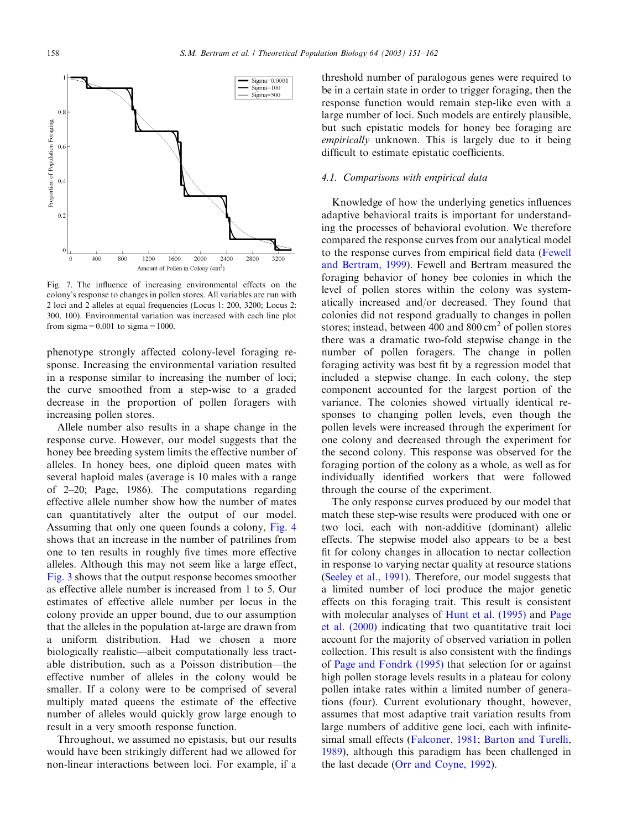<span id="page-7-0"></span>

Fig. 7. The influence of increasing environmental effects on the colony's response to changes in pollen stores. All variables are run with 2 loci and 2 alleles at equal frequencies (Locus 1: 200, 3200; Locus 2: 300, 100). Environmental variation was increased with each line plot from sigma $=0.001$  to sigma $=1000$ .

phenotype strongly affected colony-level foraging response. Increasing the environmental variation resulted in a response similar to increasing the number of loci; the curve smoothed from a step-wise to a graded decrease in the proportion of pollen foragers with increasing pollen stores.

Allele number also results in a shape change in the response curve. However, our model suggests that the honey bee breeding system limits the effective number of alleles. In honey bees, one diploid queen mates with several haploid males (average is 10 males with a range of 2–20; Page, 1986). The computations regarding effective allele number show how the number of mates can quantitatively alter the output of our model. Assuming that only one queen founds a colony, [Fig. 4](#page-6-0) shows that an increase in the number of patrilines from one to ten results in roughly five times more effective alleles. Although this may not seem like a large effect, [Fig. 3](#page-5-0) shows that the output response becomes smoother as effective allele number is increased from 1 to 5. Our estimates of effective allele number per locus in the colony provide an upper bound, due to our assumption that the alleles in the population at-large are drawn from a uniform distribution. Had we chosen a more biologically realistic—albeit computationally less tractable distribution, such as a Poisson distribution—the effective number of alleles in the colony would be smaller. If a colony were to be comprised of several multiply mated queens the estimate of the effective number of alleles would quickly grow large enough to result in a very smooth response function.

Throughout, we assumed no epistasis, but our results would have been strikingly different had we allowed for non-linear interactions between loci. For example, if a

threshold number of paralogous genes were required to be in a certain state in order to trigger foraging, then the response function would remain step-like even with a large number of loci. Such models are entirely plausible, but such epistatic models for honey bee foraging are empirically unknown. This is largely due to it being difficult to estimate epistatic coefficients.

## 4.1. Comparisons with empirical data

Knowledge of how the underlying genetics influences adaptive behavioral traits is important for understanding the processes of behavioral evolution. We therefore compared the response curves from our analytical model to the response curves fromempirical field data ([Fewell](#page-11-0) [and Bertram, 1999](#page-11-0)). Fewell and Bertram measured the foraging behavior of honey bee colonies in which the level of pollen stores within the colony was systematically increased and/or decreased. They found that colonies did not respond gradually to changes in pollen stores; instead, between 400 and  $800 \text{ cm}^2$  of pollen stores there was a dramatic two-fold stepwise change in the number of pollen foragers. The change in pollen foraging activity was best fit by a regression model that included a stepwise change. In each colony, the step component accounted for the largest portion of the variance. The colonies showed virtually identical responses to changing pollen levels, even though the pollen levels were increased through the experiment for one colony and decreased through the experiment for the second colony. This response was observed for the foraging portion of the colony as a whole, as well as for individually identified workers that were followed through the course of the experiment.

The only response curves produced by our model that match these step-wise results were produced with one or two loci, each with non-additive (dominant) allelic effects. The stepwise model also appears to be a best fit for colony changes in allocation to nectar collection in response to varying nectar quality at resource stations [\(Seeley et al., 1991\)](#page-11-0). Therefore, our model suggests that a limited number of loci produce the major genetic effects on this foraging trait. This result is consistent with molecular analyses of [Hunt et al. \(1995\)](#page-11-0) and [Page](#page-11-0) [et al. \(2000\)](#page-11-0) indicating that two quantitative trait loci account for the majority of observed variation in pollen collection. This result is also consistent with the findings of [Page and Fondrk \(1995\)](#page-11-0) that selection for or against high pollen storage levels results in a plateau for colony pollen intake rates within a limited number of generations (four). Current evolutionary thought, however, assumes that most adaptive trait variation results from large numbers of additive gene loci, each with infinitesimal small effects [\(Falconer, 1981](#page-11-0); [Barton and Turelli,](#page-10-0) [1989\)](#page-10-0), although this paradigm has been challenged in the last decade [\(Orr and Coyne, 1992\)](#page-11-0).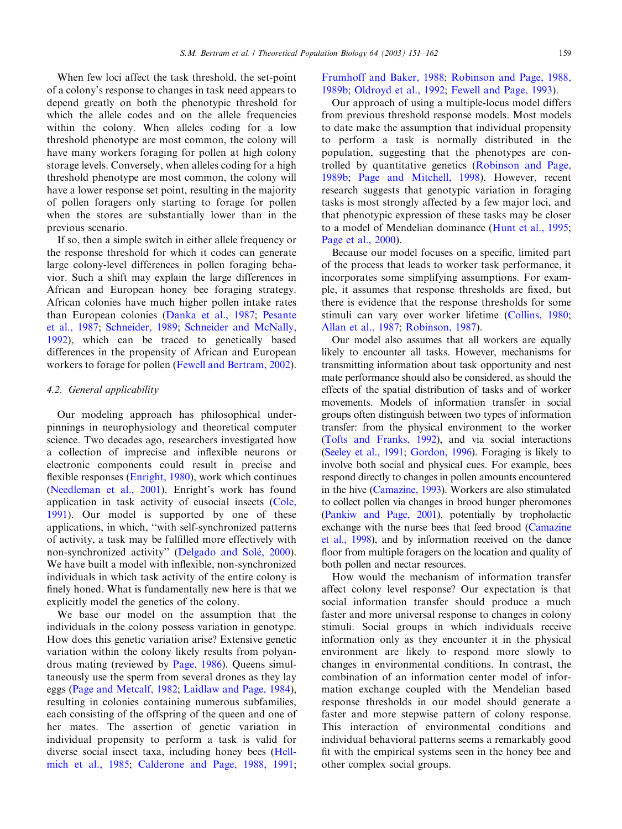When few loci affect the task threshold, the set-point of a colony's response to changes in task need appears to depend greatly on both the phenotypic threshold for which the allele codes and on the allele frequencies within the colony. When alleles coding for a low threshold phenotype are most common, the colony will have many workers foraging for pollen at high colony storage levels. Conversely, when alleles coding for a high threshold phenotype are most common, the colony will have a lower response set point, resulting in the majority of pollen foragers only starting to forage for pollen when the stores are substantially lower than in the previous scenario.

If so, then a simple switch in either allele frequency or the response threshold for which it codes can generate large colony-level differences in pollen foraging behavior. Such a shift may explain the large differences in African and European honey bee foraging strategy. African colonies have much higher pollen intake rates than European colonies ([Danka et al., 1987;](#page-11-0) [Pesante](#page-11-0) [et al., 1987](#page-11-0); [Schneider, 1989;](#page-11-0) [Schneider and McNally,](#page-11-0) [1992\)](#page-11-0), which can be traced to genetically based differences in the propensity of African and European workers to forage for pollen ([Fewell and Bertram, 2002\)](#page-11-0).

## 4.2. General applicability

Our modeling approach has philosophical underpinnings in neurophysiology and theoretical computer science. Two decades ago, researchers investigated how a collection of imprecise and inflexible neurons or electronic components could result in precise and flexible responses [\(Enright, 1980](#page-11-0)), work which continues [\(Needleman et al., 2001](#page-11-0)). Enright's work has found application in task activity of eusocial insects [\(Cole,](#page-11-0) [1991\)](#page-11-0). Our model is supported by one of these applications, in which, ''with self-synchronized patterns of activity, a task may be fulfilled more effectively with non-synchronized activity" (Delgado and Solé, 2000). We have built a model with inflexible, non-synchronized individuals in which task activity of the entire colony is finely honed. What is fundamentally new here is that we explicitly model the genetics of the colony.

We base our model on the assumption that the individuals in the colony possess variation in genotype. How does this genetic variation arise? Extensive genetic variation within the colony likely results from polyandrous mating (reviewed by [Page, 1986](#page-11-0)). Queens simultaneously use the sperm from several drones as they lay eggs [\(Page and Metcalf, 1982;](#page-11-0) [Laidlaw and Page, 1984\)](#page-11-0), resulting in colonies containing numerous subfamilies, each consisting of the offspring of the queen and one of her mates. The assertion of genetic variation in individual propensity to perform a task is valid for diverse social insect taxa, including honey bees ([Hell](#page-11-0)[mich et al., 1985;](#page-11-0) [Calderone and Page, 1988, 1991](#page-10-0); [Frumhoff and Baker, 1988](#page-11-0); [Robinson and Page, 1988,](#page-11-0) [1989b](#page-11-0); [Oldroyd et al., 1992;](#page-11-0) [Fewell and Page, 1993\)](#page-11-0).

Our approach of using a multiple-locus model differs from previous threshold response models. Most models to date make the assumption that individual propensity to perform a task is normally distributed in the population, suggesting that the phenotypes are controlled by quantitative genetics [\(Robinson and Page,](#page-11-0) [1989b](#page-11-0); [Page and Mitchell, 1998](#page-11-0)). However, recent research suggests that genotypic variation in foraging tasks is most strongly affected by a few major loci, and that phenotypic expression of these tasks may be closer to a model of Mendelian dominance [\(Hunt et al., 1995](#page-11-0); [Page et al., 2000\)](#page-11-0).

Because our model focuses on a specific, limited part of the process that leads to worker task performance, it incorporates some simplifying assumptions. For example, it assumes that response thresholds are fixed, but there is evidence that the response thresholds for some stimuli can vary over worker lifetime [\(Collins, 1980](#page-11-0); [Allan et al., 1987](#page-10-0); [Robinson, 1987\)](#page-11-0).

Our model also assumes that all workers are equally likely to encounter all tasks. However, mechanisms for transmitting information about task opportunity and nest mate performance should also be considered, as should the effects of the spatial distribution of tasks and of worker movements. Models of information transfer in social groups often distinguish between two types of information transfer: from the physical environment to the worker [\(Tofts and Franks, 1992\)](#page-11-0), and via social interactions [\(Seeley et al., 1991;](#page-11-0) [Gordon, 1996\)](#page-11-0). Foraging is likely to involve both social and physical cues. For example, bees respond directly to changes in pollen amounts encountered in the hive [\(Camazine, 1993](#page-11-0)). Workers are also stimulated to collect pollen via changes in brood hunger pheromones [\(Pankiw and Page, 2001](#page-11-0)), potentially by tropholactic exchange with the nurse bees that feed brood [\(Camazine](#page-11-0) [et al., 1998\)](#page-11-0), and by information received on the dance floor from multiple foragers on the location and quality of both pollen and nectar resources.

How would the mechanism of information transfer affect colony level response? Our expectation is that social information transfer should produce a much faster and more universal response to changes in colony stimuli. Social groups in which individuals receive information only as they encounter it in the physical environment are likely to respond more slowly to changes in environmental conditions. In contrast, the combination of an information center model of information exchange coupled with the Mendelian based response thresholds in our model should generate a faster and more stepwise pattern of colony response. This interaction of environmental conditions and individual behavioral patterns seems a remarkably good fit with the empirical systems seen in the honey bee and other complex social groups.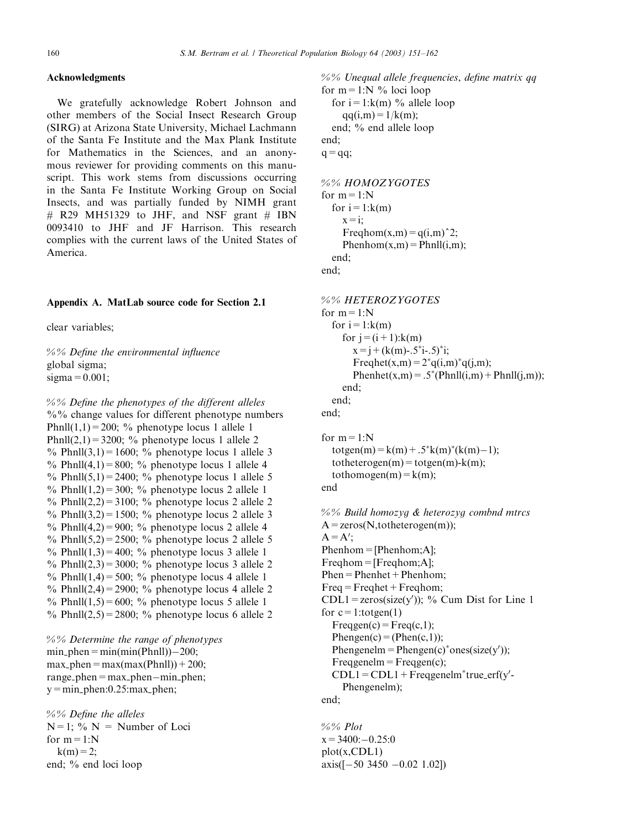## Acknowledgments

We gratefully acknowledge Robert Johnson and other members of the Social Insect Research Group (SIRG) at Arizona State University, Michael Lachmann of the Santa Fe Institute and the Max Plank Institute for Mathematics in the Sciences, and an anonymous reviewer for providing comments on this manuscript. This work stems from discussions occurring in the Santa Fe Institute Working Group on Social Insects, and was partially funded by NIMH grant  $\#$  R29 MH51329 to JHF, and NSF grant  $\#$  IBN 0093410 to JHF and JF Harrison. This research complies with the current laws of the United States of America.

## Appendix A. MatLab source code for Section 2.1

clear variables;

 $% %$  Define the environmental influence global sigma;  $sigma=0.001$ ;

 $\%$ % Define the phenotypes of the different alleles  $\%$ % change values for different phenotype numbers Phnll $(1,1)$ =200; % phenotype locus 1 allele 1 Phnll $(2,1)$ =3200; % phenotype locus 1 allele 2 % Phnll $(3,1)$  = 1600; % phenotype locus 1 allele 3 % Phnll $(4,1)$  = 800; % phenotype locus 1 allele 4 % Phnll(5,1) = 2400; % phenotype locus 1 allele 5 % Phnll(1,2) = 300; % phenotype locus 2 allele 1 % Phnll(2,2) = 3100; % phenotype locus 2 allele 2 % Phnll(3,2) = 1500; % phenotype locus 2 allele 3 % Phnll(4,2) = 900; % phenotype locus 2 allele 4 % Phnll $(5,2)$ =2500; % phenotype locus 2 allele 5 % Phnll $(1,3)$  = 400; % phenotype locus 3 allele 1 % Phnll $(2,3)$  = 3000; % phenotype locus 3 allele 2 % Phnll(1,4) = 500; % phenotype locus 4 allele 1 % Phnll $(2,4)$  = 2900; % phenotype locus 4 allele 2 % Phnll(1,5)=600; % phenotype locus 5 allele 1 % Phnll(2,5) = 2800; % phenotype locus 6 allele 2

 $\%$ % Determine the range of phenotypes  $min\_phen = min(min(Phnll)) - 200;$  $max_{\text{}}$ phen = max(max(Phnll)) + 200;  $range_{\text{m}} = \max_{\text{m}}$  phen-min phen;  $y = min_{\text{phen}:0.25:max_{\text{phen}:0.25:max_{\text{phen}:0.25:max_{\text{phen}:0.25:max_{\text{phen}:0.25:max_{\text{phen}:0.25:max_{\text{phen}:0.25:max_{\text{phen}:0.25:max_{\text{phen}:0.25:max_{\text{phen}:0.25:max_{\text{phen}:0.25:max_{\text{phen}:0.25:max_{\text{phen}:0.25:max_{\text{phen}:0.25:max_{\text{phen}:0.25:max_{\text{phen}:0.25:max_{\text{phen}:0.$ 

 $%$ % Define the alleles  $N=1$ : %  $N =$  Number of Loci for  $m=1:N$  $k(m)=2$ ; end; % end loci loop

 $\%$ % Unequal allele frequencies, define matrix qq for  $m=1:N$  % loci loop for  $i=1: k(m)$  % allele loop  $qq(i,m)=1/k(m);$ end; % end allele loop end;  $q = qq$ ; % % HOMOZYGOTES for  $m=1:N$ for  $i=1:k(m)$ 

 $x = i$ : Freqhom $(x,m)=q(i,m)^2$ ;  $Phenhom(x,m) = Phnll(i,m);$ end; end;

```
% % HETEROZYGOTES
for m=1:Nfor i=1:k(m)for j = (i + 1):k(m)x = j + (k(m) - .5^{*}i - .5)^{*}i;Freqhet(x,m) = 2^*q(i,m)^*q(j,m);
       Phenhet(x,m) = .5*(Phnll(i,m) + Phnll(j,m));end;
  end;
end;
```
for  $m=1:N$  $totgen(m) = k(m) + .5*k(m)*(k(m)-1);$  $to the terogen(m) = totgen(m)-k(m);$ tothomogen $(m) = k(m)$ ; end

 $\%$ % Build homozyg & heterozyg combnd mtrcs  $A = zeros(N, to the tree of(m));$  $A = A';$ Phenhom=[Phenhom;A]; Freqhom=[Freqhom;A];  $Phen = Phenhet + Phenhom;$  $Freq = Freqhet + Freqhom;$  $CDL1 = zeros(size(y')); %$  Cum Dist for Line 1 for  $c=1$ :totgen(1)  $Freqgen(c) = Freq(c,1);$ Phengen(c) = (Phen(c,1));  $Phengenelm = Phengen(c) *ones(size(y'));$  $Freqgenelm = Freqgen(c);$  $CDL1 = CDL1 + Freggenelm<sup>*</sup> true erf(y')$ Phengenelm); end;

 $\%$ % Plot  $x=3400:-0.25:0$ plot(x,CDL1)  $axis([-50 3450 -0.02 1.02])$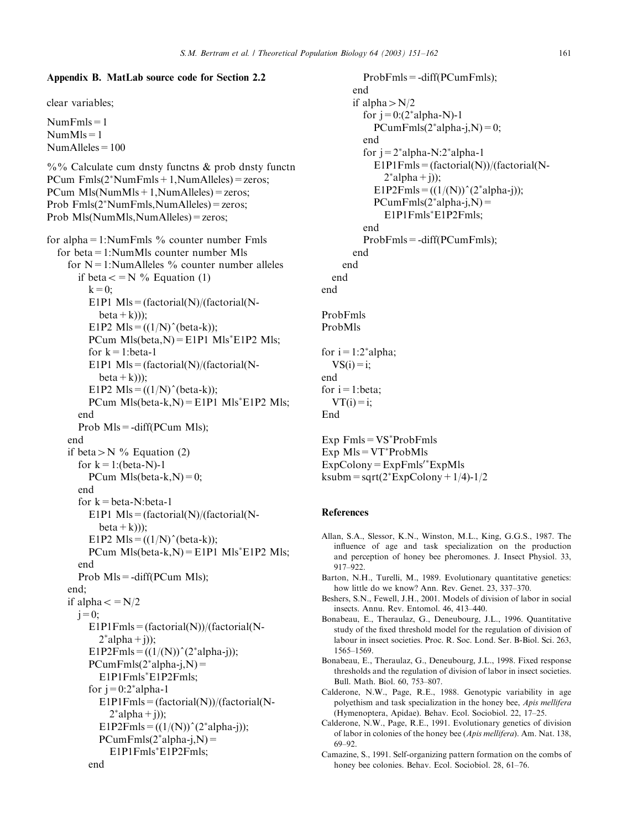## <span id="page-10-0"></span>Appendix B. MatLab source code for Section 2.2

clear variables;

 $NumFmls=1$  $NumMls = 1$  $NumAlleles = 100$  $\%$ % Calculate cum dnsty functns & prob dnsty functn  $PCum\ Fmls(2^*NumFmls + 1, NumAlleles) = zeros;$ PCum  $Mls(NumMls+1)$ . NumAlleles) = zeros; Prob Fmls(2 NumFmls,NumAlleles)=zeros; Prob Mls(NumMls,NumAlleles)=zeros; for alpha = 1:NumFmls  $\%$  counter number Fmls for beta=1:NumMls counter number Mls for  $N=1$ :NumAlleles % counter number alleles if beta $\leq$  = N % Equation (1)  $k=0$ : E1P1 Mls =  $(factorial(N)/(factorial(N$  $beta + k$ )); E1P2 Mls =  $((1/N)^{\wedge}(\text{beta-k}));$ PCum Mls(beta,  $N$ ) = E1P1 Mls\*E1P2 Mls; for  $k=1$ :beta-1 E1P1 Mls =  $(factorial(N)/(factorial(N$  $beta + k$ )); E1P2 Mls =  $((1/N)^{\wedge}$ (beta-k)); PCum Mls $(beta-k,N) = E1P1$  Mls<sup>\*</sup>E1P2 Mls; end Prob  $Mls = -diff(PCum Mls);$ end if beta >  $N$  % Equation (2) for  $k=1$ :(beta-N)-1 PCum Mls(beta-k,N) = 0; end for  $k = \beta - N$ : beta-1 E1P1 Mls =  $(factorial(N)/(factorial(N$  $beta + k$ ))); E1P2 Mls =  $((1/N)^{\wedge}$ (beta-k)); PCum Mls $(beta-k,N) = E1P1$  Mls\*E1P2 Mls; end Prob  $Mls = -diff(PCum Mls);$ end; if alpha $\langle N/2 \rangle$  $j=0$ ;  $E1PIFmls = (factorial(N))/(factorial(N 2^*$ alpha + j)); E1P2Fmls =  $((1/(N))$ <sup>2</sup>\*alpha-j));  $PCumFmls(2^*alpha-j,N)=$ E1P1Fmls E1P2Fmls; for  $j = 0:2^*$ alpha-1  $E1PIFmls = (factorial(N))/(factorial(N 2^*$ alpha + j)); E1P2Fmls =  $((1/(N))$ <sup>2</sup> $(2^*alpha-j));$  $PCumFmls(2^*alpha-j,N) =$ E1P1Fmls E1P2Fmls; end

ProbFmls=-diff(PCumFmls); end if alpha $>$ N/2 for  $j = 0:(2^*alpha-N)-1$  $PCumFmls(2^*alpha-j,N)=0;$ end for  $j = 2^*$ alpha-N: $2^*$ alpha-1  $E1PIFmls = (factorial(N))/(factorial(N 2^*$ alpha + j)); E1P2Fmls =  $((1/(N))$ <sup>2</sup> $^*$ alpha-j));  $PCumFmls(2^*alpha-j,N)=$ E1P1Fmls E1P2Fmls; end ProbFmls=-diff(PCumFmls); end end end end ProbFmls ProbMls for  $i = 1:2^*$ alpha;  $VS(i)=i;$ end for  $i=1$ : beta:  $VT(i)=i$ : End Exp Fmls=VS ProbFmls Exp Mls=VT ProbMls  $ExpColony = ExpFmls'^*ExpMls$ 

#### References

Allan, S.A., Slessor, K.N., Winston, M.L., King, G.G.S., 1987. The influence of age and task specialization on the production and perception of honey bee pheromones. J. Insect Physiol. 33, 917–922.

 $ksubm = sqrt(2*ExpColony + 1/4) - 1/2$ 

- Barton, N.H., Turelli, M., 1989. Evolutionary quantitative genetics: how little do we know? Ann. Rev. Genet. 23, 337–370.
- Beshers, S.N., Fewell, J.H., 2001. Models of division of labor in social insects. Annu. Rev. Entomol. 46, 413–440.
- Bonabeau, E., Theraulaz, G., Deneubourg, J.L., 1996. Quantitative study of the fixed threshold model for the regulation of division of labour in insect societies. Proc. R. Soc. Lond. Ser. B-Biol. Sci. 263, 1565–1569.
- Bonabeau, E., Theraulaz, G., Deneubourg, J.L., 1998. Fixed response thresholds and the regulation of division of labor in insect societies. Bull. Math. Biol. 60, 753–807.
- Calderone, N.W., Page, R.E., 1988. Genotypic variability in age polyethism and task specialization in the honey bee, Apis mellifera (Hymenoptera, Apidae). Behav. Ecol. Sociobiol. 22, 17–25.
- Calderone, N.W., Page, R.E., 1991. Evolutionary genetics of division of labor in colonies of the honey bee (Apis mellifera). Am. Nat. 138, 69–92.
- Camazine, S., 1991. Self-organizing pattern formation on the combs of honey bee colonies. Behav. Ecol. Sociobiol. 28, 61-76.